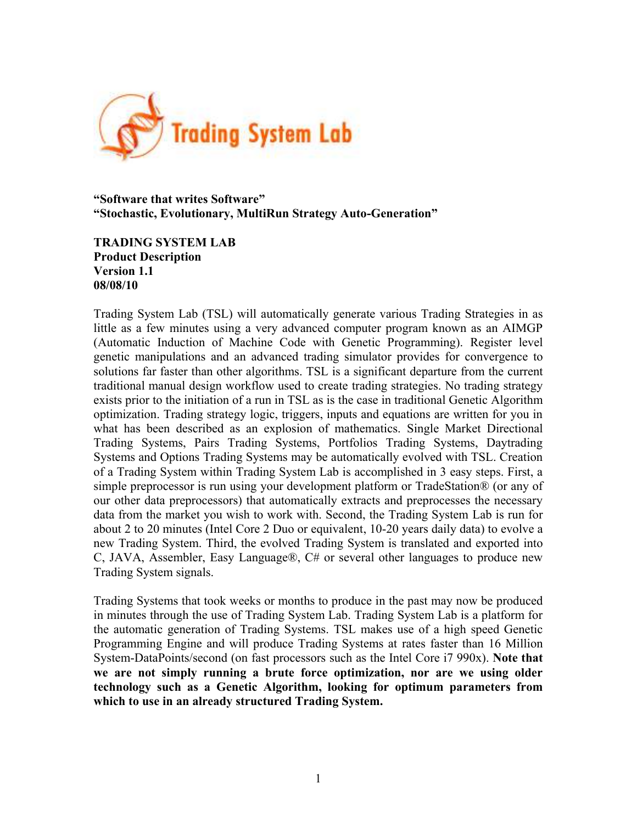

#### **"Software that writes Software" "Stochastic, Evolutionary, MultiRun Strategy Auto-Generation"**

**TRADING SYSTEM LAB Product Description Version 1.1 08/08/10**

Trading System Lab (TSL) will automatically generate various Trading Strategies in as little as a few minutes using a very advanced computer program known as an AIMGP (Automatic Induction of Machine Code with Genetic Programming). Register level genetic manipulations and an advanced trading simulator provides for convergence to solutions far faster than other algorithms. TSL is a significant departure from the current traditional manual design workflow used to create trading strategies. No trading strategy exists prior to the initiation of a run in TSL as is the case in traditional Genetic Algorithm optimization. Trading strategy logic, triggers, inputs and equations are written for you in what has been described as an explosion of mathematics. Single Market Directional Trading Systems, Pairs Trading Systems, Portfolios Trading Systems, Daytrading Systems and Options Trading Systems may be automatically evolved with TSL. Creation of a Trading System within Trading System Lab is accomplished in 3 easy steps. First, a simple preprocessor is run using your development platform or TradeStation® (or any of our other data preprocessors) that automatically extracts and preprocesses the necessary data from the market you wish to work with. Second, the Trading System Lab is run for about 2 to 20 minutes (Intel Core 2 Duo or equivalent, 10-20 years daily data) to evolve a new Trading System. Third, the evolved Trading System is translated and exported into C, JAVA, Assembler, Easy Language®, C# or several other languages to produce new Trading System signals.

Trading Systems that took weeks or months to produce in the past may now be produced in minutes through the use of Trading System Lab. Trading System Lab is a platform for the automatic generation of Trading Systems. TSL makes use of a high speed Genetic Programming Engine and will produce Trading Systems at rates faster than 16 Million System-DataPoints/second (on fast processors such as the Intel Core i7 990x). **Note that we are not simply running a brute force optimization, nor are we using older technology such as a Genetic Algorithm, looking for optimum parameters from which to use in an already structured Trading System.**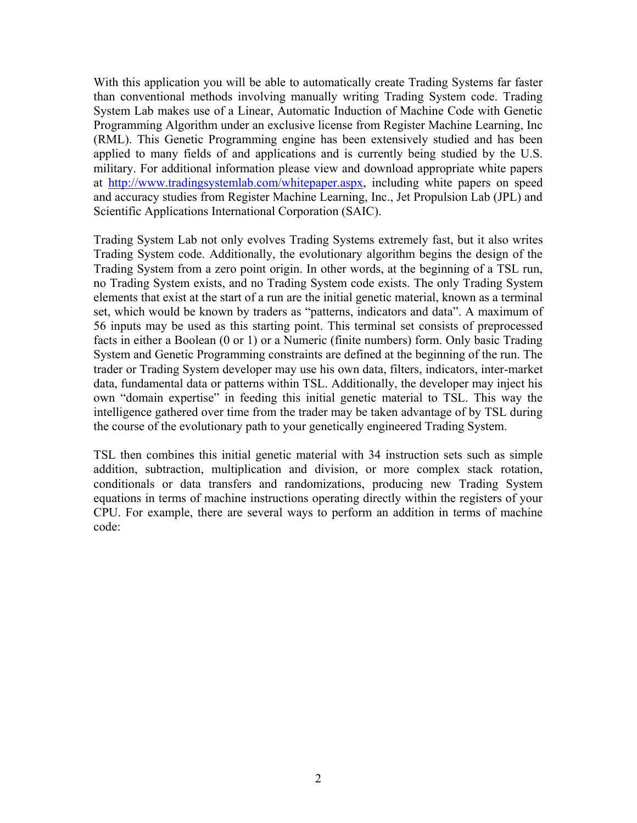With this application you will be able to automatically create Trading Systems far faster than conventional methods involving manually writing Trading System code. Trading System Lab makes use of a Linear, Automatic Induction of Machine Code with Genetic Programming Algorithm under an exclusive license from Register Machine Learning, Inc (RML). This Genetic Programming engine has been extensively studied and has been applied to many fields of and applications and is currently being studied by the U.S. military. For additional information please view and download appropriate white papers at [http://www.tradingsystemlab.com/whitepaper.aspx,](http://www.tradingsystemlab.com/whitepaper.aspx) including white papers on speed and accuracy studies from Register Machine Learning, Inc., Jet Propulsion Lab (JPL) and Scientific Applications International Corporation (SAIC).

Trading System Lab not only evolves Trading Systems extremely fast, but it also writes Trading System code. Additionally, the evolutionary algorithm begins the design of the Trading System from a zero point origin. In other words, at the beginning of a TSL run, no Trading System exists, and no Trading System code exists. The only Trading System elements that exist at the start of a run are the initial genetic material, known as a terminal set, which would be known by traders as "patterns, indicators and data". A maximum of 56 inputs may be used as this starting point. This terminal set consists of preprocessed facts in either a Boolean (0 or 1) or a Numeric (finite numbers) form. Only basic Trading System and Genetic Programming constraints are defined at the beginning of the run. The trader or Trading System developer may use his own data, filters, indicators, inter-market data, fundamental data or patterns within TSL. Additionally, the developer may inject his own "domain expertise" in feeding this initial genetic material to TSL. This way the intelligence gathered over time from the trader may be taken advantage of by TSL during the course of the evolutionary path to your genetically engineered Trading System.

TSL then combines this initial genetic material with 34 instruction sets such as simple addition, subtraction, multiplication and division, or more complex stack rotation, conditionals or data transfers and randomizations, producing new Trading System equations in terms of machine instructions operating directly within the registers of your CPU. For example, there are several ways to perform an addition in terms of machine code: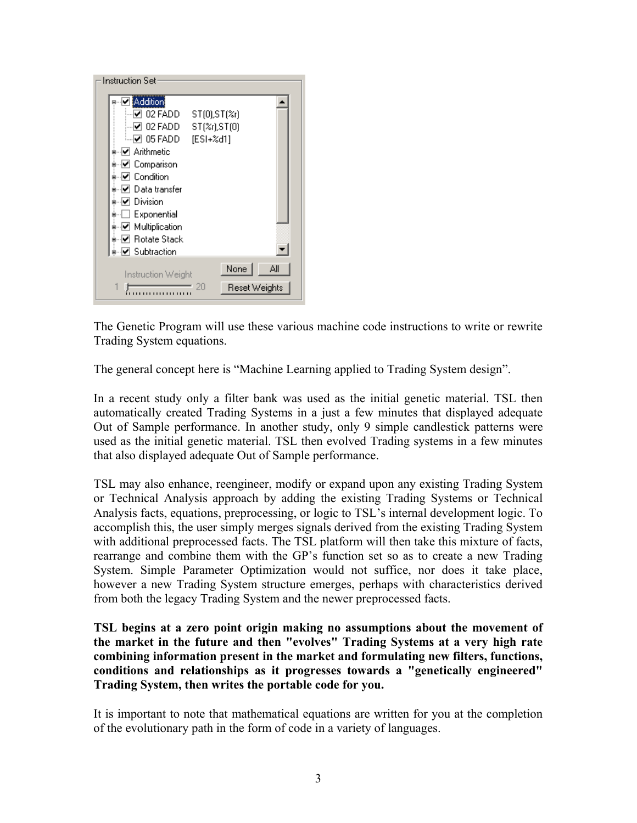

The Genetic Program will use these various machine code instructions to write or rewrite Trading System equations.

The general concept here is "Machine Learning applied to Trading System design".

In a recent study only a filter bank was used as the initial genetic material. TSL then automatically created Trading Systems in a just a few minutes that displayed adequate Out of Sample performance. In another study, only 9 simple candlestick patterns were used as the initial genetic material. TSL then evolved Trading systems in a few minutes that also displayed adequate Out of Sample performance.

TSL may also enhance, reengineer, modify or expand upon any existing Trading System or Technical Analysis approach by adding the existing Trading Systems or Technical Analysis facts, equations, preprocessing, or logic to TSL's internal development logic. To accomplish this, the user simply merges signals derived from the existing Trading System with additional preprocessed facts. The TSL platform will then take this mixture of facts, rearrange and combine them with the GP's function set so as to create a new Trading System. Simple Parameter Optimization would not suffice, nor does it take place, however a new Trading System structure emerges, perhaps with characteristics derived from both the legacy Trading System and the newer preprocessed facts.

**TSL begins at a zero point origin making no assumptions about the movement of the market in the future and then "evolves" Trading Systems at a very high rate combining information present in the market and formulating new filters, functions, conditions and relationships as it progresses towards a "genetically engineered" Trading System, then writes the portable code for you.**

It is important to note that mathematical equations are written for you at the completion of the evolutionary path in the form of code in a variety of languages.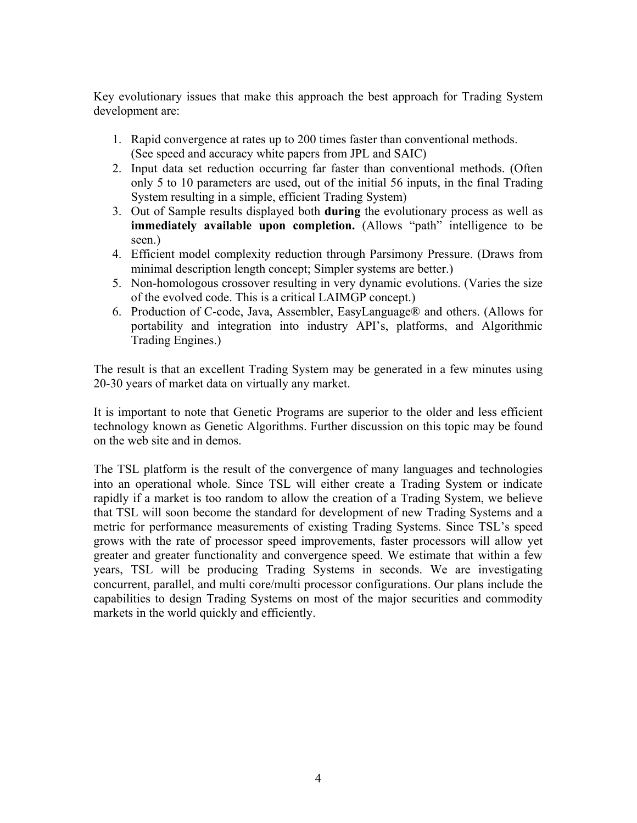Key evolutionary issues that make this approach the best approach for Trading System development are:

- 1. Rapid convergence at rates up to 200 times faster than conventional methods. (See speed and accuracy white papers from JPL and SAIC)
- 2. Input data set reduction occurring far faster than conventional methods. (Often only 5 to 10 parameters are used, out of the initial 56 inputs, in the final Trading System resulting in a simple, efficient Trading System)
- 3. Out of Sample results displayed both **during** the evolutionary process as well as **immediately available upon completion.** (Allows "path" intelligence to be seen.)
- 4. Efficient model complexity reduction through Parsimony Pressure. (Draws from minimal description length concept; Simpler systems are better.)
- 5. Non-homologous crossover resulting in very dynamic evolutions. (Varies the size of the evolved code. This is a critical LAIMGP concept.)
- 6. Production of C-code, Java, Assembler, EasyLanguage® and others. (Allows for portability and integration into industry API's, platforms, and Algorithmic Trading Engines.)

The result is that an excellent Trading System may be generated in a few minutes using 20-30 years of market data on virtually any market.

It is important to note that Genetic Programs are superior to the older and less efficient technology known as Genetic Algorithms. Further discussion on this topic may be found on the web site and in demos.

The TSL platform is the result of the convergence of many languages and technologies into an operational whole. Since TSL will either create a Trading System or indicate rapidly if a market is too random to allow the creation of a Trading System, we believe that TSL will soon become the standard for development of new Trading Systems and a metric for performance measurements of existing Trading Systems. Since TSL's speed grows with the rate of processor speed improvements, faster processors will allow yet greater and greater functionality and convergence speed. We estimate that within a few years, TSL will be producing Trading Systems in seconds. We are investigating concurrent, parallel, and multi core/multi processor configurations. Our plans include the capabilities to design Trading Systems on most of the major securities and commodity markets in the world quickly and efficiently.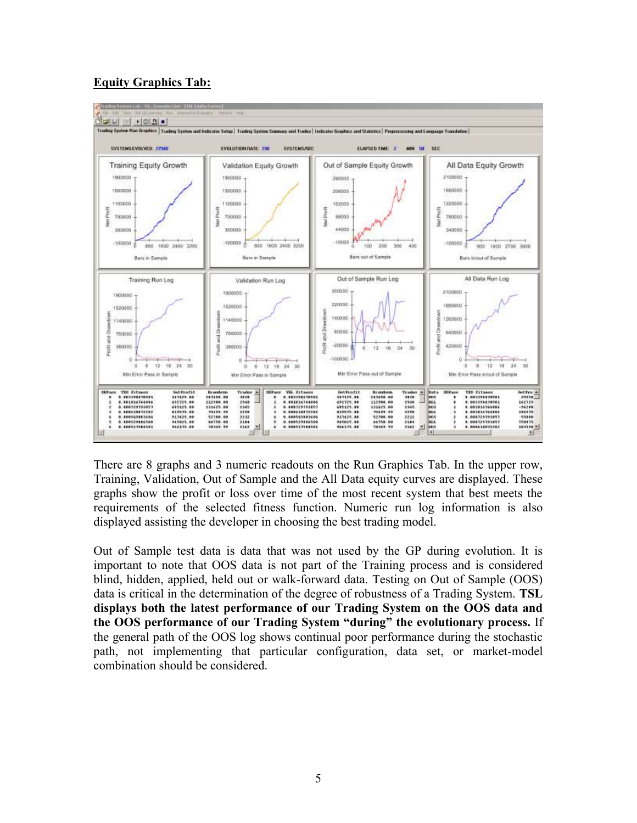



There are 8 graphs and 3 numeric readouts on the Run Graphics Tab. In the upper row, Training, Validation, Out of Sample and the All Data equity curves are displayed. These graphs show the profit or loss over time of the most recent system that best meets the requirements of the selected fitness function. Numeric run log information is also displayed assisting the developer in choosing the best trading model.

Out of Sample test data is data that was not used by the GP during evolution. It is important to note that OOS data is not part of the Training process and is considered blind, hidden, applied, held out or walk-forward data. Testing on Out of Sample (OOS) data is critical in the determination of the degree of robustness of a Trading System. **TSL displays both the latest performance of our Trading System on the OOS data and the OOS performance of our Trading System "during" the evolutionary process.** If the general path of the OOS log shows continual poor performance during the stochastic path, not implementing that particular configuration, data set, or market-model combination should be considered.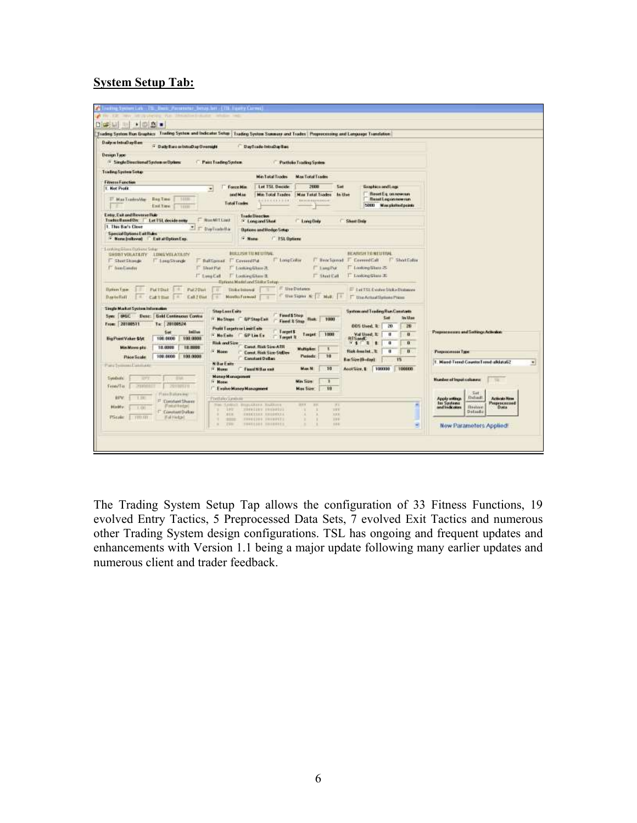# **System Setup Tab:**

| Paint Trading System<br>Portfolio Trading System<br>Man Tastal Trades<br><b>Man Total Trades</b><br>Let TSL Decide<br>2000<br>Set<br>firephics and Legi-<br><b>Force Min</b><br>$\blacksquare$<br>Beset Eq. on now run.<br><b><i><u>istal M.i.e.</u></i></b><br><b>Min Total Trades</b><br>Max Tatal Trades<br>In the<br>El Mas Taudes/day<br><b>Bea Time</b><br><b>BeautLogonnewman</b><br>1118<br>0100000000<br><b>BAJALO PAILLINGSIS</b><br><b>Total Trades</b><br>5000 Manplotted points<br><b>End Time</b><br>1000<br>Entry, Exit and Reverse Ruis<br><b>Trade Direction</b><br>Trades Based On:<br><b>E NunMITLingt</b><br>Let TSL decide now<br><sup>1</sup> Longard Shee<br><b>Long Grey</b><br><b>C. Sheet Date</b><br>1. This Bar's Clean<br>$\frac{1}{2}$<br>T Dwfrahila<br><b><i><u><u><b>Dations and Hedge Setup</b></u></u></i></b><br><b>Special Options East Rules</b><br><b>Hotel</b><br>F Nemcloskoval<br>East at Option East<br>F 151 Options<br>Londong Silaya (Dorising Sylla)<br>BEASISHTO NEUTRAL<br><b>BULLISH TILNESTING</b><br><b>SHORT VILATE ITY</b><br><b>LONG VOLATILITY</b><br>F Long Collar<br><b>Theatland</b><br>T Convenition<br>F Short Folio<br><b>F. Covered Put</b><br><b>T ShartShange</b><br>T. Leeu Strange<br><b>FielDonal</b><br>E. Third Pat<br><sup>17</sup> LangTyr<br><b>C.</b> from Limites<br>17 Looking Gloss 28<br><b>厂 Louiding Watt ≥</b><br>Looking Glass 35<br>IT Lincollat<br>F Looking Ellers 3<br>IT filters Call<br>(Turkish) Madel and Sicike Series<br><b>IT UseDictates</b><br><b>Bakers Twin</b><br><b>PMTDul</b><br>Pui 20us<br>E Let TSL Cyréve Malo Dialogue<br><b>Thikelisiunal</b><br>B.<br>Dan Sigma N:   2 Mail:   1<br>Day to field<br>Cult 1 Hot<br>Call 2 Dist<br>Months Francist<br>T Use Actual Religion Pierre<br>F.A.<br>Single Market System Information<br><b>StepLens Exits</b><br><b>System and Trading Run Constants</b><br>Food \$5hop<br>Syer: BAGC<br><b>Denr: Gold Continuous Control</b><br>Set<br>In Use<br>F-No Stops GPStopExH<br><b>Bak</b> 1000<br>Fared & Steel<br>From: 20100511<br>Ta: 20100524<br>008 Used. 2<br>29<br>20<br><b>Profit Targets or Limit Earls</b><br><b>Inilian</b><br><b>Entret S</b><br>Prepresentation and Softings Activities<br>Set<br>Target   1000<br>Vol Used, 3:<br>u<br>и<br>- NoEste<br><b>GP Lim Ex</b><br>Torget #<br>100,0000<br>100 0008<br><b>Big Point Value \$44</b><br><b>RISMAC</b><br><b>NATE</b><br>$\mathbf{n}$<br><b>Risk and Size</b><br>$\mathbf{a}$<br>٠<br>Casut, Bigk Size-ATRL<br><b>Min Move plz</b><br>18,0008<br>18,9866<br><b>Multiplett</b><br>ı<br><b>High-housted., &amp;</b><br>* Hone<br>$\mathbf{u}$<br>Разрассивные Туре<br>Const. Risk Size-StdDev<br>100.0000<br>100.0008<br><b>Parisdz</b><br>10<br>Price Scale<br>Constant Dollars<br><b>IS</b><br><b>Bar Size Bloday</b> )<br>1. Mixed Trend CounterTrend albiato52<br><b>N</b> Bur Easts<br>Ford Symmet Landsale<br>10<br>AcctSize, \$ 100000<br>190000<br>Max N<br>F. Nerat<br>Financi Ni Bas exit<br>Money Management<br><b><i>Upidade</i></b><br>3373<br>EM<br><b>Number of Input columns:</b><br>m<br>May Side:<br>* None<br>Trop/Tar<br><b>TERRITAL</b><br>2010/07/11<br>Evalve Masey Management<br>Max Size<br>19<br>$-5$ et<br>Flass Baltimore<br><b>Didundi</b><br><b>REN</b><br>1.78<br><b>Activado Nicos</b><br>PortukoSpolute<br>Apply without<br><sup>El</sup> Condant Dorm<br>Proprocessed<br><b>Tes Systems</b><br>Trailers, P. Akers<br><b>BUJIARAN HAIRIER</b><br><b>BEE</b><br><b>WE</b><br>21<br>۰<br>Finish Holter<br>Restore<br><b>History</b><br>and Indicators<br>Data<br>1.131<br>3.937<br>TOWNSHIPS, ERECHOLD<br>288<br>Contast Dulas<br><b>Defaults</b><br><b>SEE</b><br><b>CONCERNE EXCORPTS</b><br>228<br>٠<br>Plicake<br><b>Wallished</b><br>TELLET.<br>٠<br>FORESTER, DOCUMENTS.<br>111<br>198100 | Trading Senton Run Graphics Trading System and Indicates Setup   Trading System Semmary and Trades   Preprecessing and Language Translation  <br><b>Daily or IntraDay Barr</b><br><sup>14</sup> Daily Bara or IntraDay Overnight | DayTrade-IntraDuction |  |  |
|------------------------------------------------------------------------------------------------------------------------------------------------------------------------------------------------------------------------------------------------------------------------------------------------------------------------------------------------------------------------------------------------------------------------------------------------------------------------------------------------------------------------------------------------------------------------------------------------------------------------------------------------------------------------------------------------------------------------------------------------------------------------------------------------------------------------------------------------------------------------------------------------------------------------------------------------------------------------------------------------------------------------------------------------------------------------------------------------------------------------------------------------------------------------------------------------------------------------------------------------------------------------------------------------------------------------------------------------------------------------------------------------------------------------------------------------------------------------------------------------------------------------------------------------------------------------------------------------------------------------------------------------------------------------------------------------------------------------------------------------------------------------------------------------------------------------------------------------------------------------------------------------------------------------------------------------------------------------------------------------------------------------------------------------------------------------------------------------------------------------------------------------------------------------------------------------------------------------------------------------------------------------------------------------------------------------------------------------------------------------------------------------------------------------------------------------------------------------------------------------------------------------------------------------------------------------------------------------------------------------------------------------------------------------------------------------------------------------------------------------------------------------------------------------------------------------------------------------------------------------------------------------------------------------------------------------------------------------------------------------------------------------------------------------------------------------------------------------------------------------------------------------------------------------------------------------------------------------------------------------------------------------------------------------------------------------------------------------------------------------------------------------------------------------------------------------------------------------------------------------------------------------------------------------------------------------------------------------------------------------------------------------------------------------------------------------------------------------------------------------------------------------------------------------------------------------------------------------|----------------------------------------------------------------------------------------------------------------------------------------------------------------------------------------------------------------------------------|-----------------------|--|--|
|                                                                                                                                                                                                                                                                                                                                                                                                                                                                                                                                                                                                                                                                                                                                                                                                                                                                                                                                                                                                                                                                                                                                                                                                                                                                                                                                                                                                                                                                                                                                                                                                                                                                                                                                                                                                                                                                                                                                                                                                                                                                                                                                                                                                                                                                                                                                                                                                                                                                                                                                                                                                                                                                                                                                                                                                                                                                                                                                                                                                                                                                                                                                                                                                                                                                                                                                                                                                                                                                                                                                                                                                                                                                                                                                                                                                                                                | <b>Desem Type</b><br><sup>19</sup> Single Directional System or Optimi                                                                                                                                                           |                       |  |  |
|                                                                                                                                                                                                                                                                                                                                                                                                                                                                                                                                                                                                                                                                                                                                                                                                                                                                                                                                                                                                                                                                                                                                                                                                                                                                                                                                                                                                                                                                                                                                                                                                                                                                                                                                                                                                                                                                                                                                                                                                                                                                                                                                                                                                                                                                                                                                                                                                                                                                                                                                                                                                                                                                                                                                                                                                                                                                                                                                                                                                                                                                                                                                                                                                                                                                                                                                                                                                                                                                                                                                                                                                                                                                                                                                                                                                                                                | <b>Trading System Setup</b>                                                                                                                                                                                                      |                       |  |  |
|                                                                                                                                                                                                                                                                                                                                                                                                                                                                                                                                                                                                                                                                                                                                                                                                                                                                                                                                                                                                                                                                                                                                                                                                                                                                                                                                                                                                                                                                                                                                                                                                                                                                                                                                                                                                                                                                                                                                                                                                                                                                                                                                                                                                                                                                                                                                                                                                                                                                                                                                                                                                                                                                                                                                                                                                                                                                                                                                                                                                                                                                                                                                                                                                                                                                                                                                                                                                                                                                                                                                                                                                                                                                                                                                                                                                                                                | <b>Filmess Function</b>                                                                                                                                                                                                          |                       |  |  |
|                                                                                                                                                                                                                                                                                                                                                                                                                                                                                                                                                                                                                                                                                                                                                                                                                                                                                                                                                                                                                                                                                                                                                                                                                                                                                                                                                                                                                                                                                                                                                                                                                                                                                                                                                                                                                                                                                                                                                                                                                                                                                                                                                                                                                                                                                                                                                                                                                                                                                                                                                                                                                                                                                                                                                                                                                                                                                                                                                                                                                                                                                                                                                                                                                                                                                                                                                                                                                                                                                                                                                                                                                                                                                                                                                                                                                                                | 1. Net Profit                                                                                                                                                                                                                    |                       |  |  |
|                                                                                                                                                                                                                                                                                                                                                                                                                                                                                                                                                                                                                                                                                                                                                                                                                                                                                                                                                                                                                                                                                                                                                                                                                                                                                                                                                                                                                                                                                                                                                                                                                                                                                                                                                                                                                                                                                                                                                                                                                                                                                                                                                                                                                                                                                                                                                                                                                                                                                                                                                                                                                                                                                                                                                                                                                                                                                                                                                                                                                                                                                                                                                                                                                                                                                                                                                                                                                                                                                                                                                                                                                                                                                                                                                                                                                                                |                                                                                                                                                                                                                                  |                       |  |  |
|                                                                                                                                                                                                                                                                                                                                                                                                                                                                                                                                                                                                                                                                                                                                                                                                                                                                                                                                                                                                                                                                                                                                                                                                                                                                                                                                                                                                                                                                                                                                                                                                                                                                                                                                                                                                                                                                                                                                                                                                                                                                                                                                                                                                                                                                                                                                                                                                                                                                                                                                                                                                                                                                                                                                                                                                                                                                                                                                                                                                                                                                                                                                                                                                                                                                                                                                                                                                                                                                                                                                                                                                                                                                                                                                                                                                                                                |                                                                                                                                                                                                                                  |                       |  |  |
|                                                                                                                                                                                                                                                                                                                                                                                                                                                                                                                                                                                                                                                                                                                                                                                                                                                                                                                                                                                                                                                                                                                                                                                                                                                                                                                                                                                                                                                                                                                                                                                                                                                                                                                                                                                                                                                                                                                                                                                                                                                                                                                                                                                                                                                                                                                                                                                                                                                                                                                                                                                                                                                                                                                                                                                                                                                                                                                                                                                                                                                                                                                                                                                                                                                                                                                                                                                                                                                                                                                                                                                                                                                                                                                                                                                                                                                |                                                                                                                                                                                                                                  |                       |  |  |
|                                                                                                                                                                                                                                                                                                                                                                                                                                                                                                                                                                                                                                                                                                                                                                                                                                                                                                                                                                                                                                                                                                                                                                                                                                                                                                                                                                                                                                                                                                                                                                                                                                                                                                                                                                                                                                                                                                                                                                                                                                                                                                                                                                                                                                                                                                                                                                                                                                                                                                                                                                                                                                                                                                                                                                                                                                                                                                                                                                                                                                                                                                                                                                                                                                                                                                                                                                                                                                                                                                                                                                                                                                                                                                                                                                                                                                                |                                                                                                                                                                                                                                  |                       |  |  |
|                                                                                                                                                                                                                                                                                                                                                                                                                                                                                                                                                                                                                                                                                                                                                                                                                                                                                                                                                                                                                                                                                                                                                                                                                                                                                                                                                                                                                                                                                                                                                                                                                                                                                                                                                                                                                                                                                                                                                                                                                                                                                                                                                                                                                                                                                                                                                                                                                                                                                                                                                                                                                                                                                                                                                                                                                                                                                                                                                                                                                                                                                                                                                                                                                                                                                                                                                                                                                                                                                                                                                                                                                                                                                                                                                                                                                                                |                                                                                                                                                                                                                                  |                       |  |  |
|                                                                                                                                                                                                                                                                                                                                                                                                                                                                                                                                                                                                                                                                                                                                                                                                                                                                                                                                                                                                                                                                                                                                                                                                                                                                                                                                                                                                                                                                                                                                                                                                                                                                                                                                                                                                                                                                                                                                                                                                                                                                                                                                                                                                                                                                                                                                                                                                                                                                                                                                                                                                                                                                                                                                                                                                                                                                                                                                                                                                                                                                                                                                                                                                                                                                                                                                                                                                                                                                                                                                                                                                                                                                                                                                                                                                                                                |                                                                                                                                                                                                                                  |                       |  |  |
|                                                                                                                                                                                                                                                                                                                                                                                                                                                                                                                                                                                                                                                                                                                                                                                                                                                                                                                                                                                                                                                                                                                                                                                                                                                                                                                                                                                                                                                                                                                                                                                                                                                                                                                                                                                                                                                                                                                                                                                                                                                                                                                                                                                                                                                                                                                                                                                                                                                                                                                                                                                                                                                                                                                                                                                                                                                                                                                                                                                                                                                                                                                                                                                                                                                                                                                                                                                                                                                                                                                                                                                                                                                                                                                                                                                                                                                |                                                                                                                                                                                                                                  |                       |  |  |
|                                                                                                                                                                                                                                                                                                                                                                                                                                                                                                                                                                                                                                                                                                                                                                                                                                                                                                                                                                                                                                                                                                                                                                                                                                                                                                                                                                                                                                                                                                                                                                                                                                                                                                                                                                                                                                                                                                                                                                                                                                                                                                                                                                                                                                                                                                                                                                                                                                                                                                                                                                                                                                                                                                                                                                                                                                                                                                                                                                                                                                                                                                                                                                                                                                                                                                                                                                                                                                                                                                                                                                                                                                                                                                                                                                                                                                                |                                                                                                                                                                                                                                  |                       |  |  |
|                                                                                                                                                                                                                                                                                                                                                                                                                                                                                                                                                                                                                                                                                                                                                                                                                                                                                                                                                                                                                                                                                                                                                                                                                                                                                                                                                                                                                                                                                                                                                                                                                                                                                                                                                                                                                                                                                                                                                                                                                                                                                                                                                                                                                                                                                                                                                                                                                                                                                                                                                                                                                                                                                                                                                                                                                                                                                                                                                                                                                                                                                                                                                                                                                                                                                                                                                                                                                                                                                                                                                                                                                                                                                                                                                                                                                                                |                                                                                                                                                                                                                                  |                       |  |  |
|                                                                                                                                                                                                                                                                                                                                                                                                                                                                                                                                                                                                                                                                                                                                                                                                                                                                                                                                                                                                                                                                                                                                                                                                                                                                                                                                                                                                                                                                                                                                                                                                                                                                                                                                                                                                                                                                                                                                                                                                                                                                                                                                                                                                                                                                                                                                                                                                                                                                                                                                                                                                                                                                                                                                                                                                                                                                                                                                                                                                                                                                                                                                                                                                                                                                                                                                                                                                                                                                                                                                                                                                                                                                                                                                                                                                                                                |                                                                                                                                                                                                                                  |                       |  |  |
|                                                                                                                                                                                                                                                                                                                                                                                                                                                                                                                                                                                                                                                                                                                                                                                                                                                                                                                                                                                                                                                                                                                                                                                                                                                                                                                                                                                                                                                                                                                                                                                                                                                                                                                                                                                                                                                                                                                                                                                                                                                                                                                                                                                                                                                                                                                                                                                                                                                                                                                                                                                                                                                                                                                                                                                                                                                                                                                                                                                                                                                                                                                                                                                                                                                                                                                                                                                                                                                                                                                                                                                                                                                                                                                                                                                                                                                |                                                                                                                                                                                                                                  |                       |  |  |
|                                                                                                                                                                                                                                                                                                                                                                                                                                                                                                                                                                                                                                                                                                                                                                                                                                                                                                                                                                                                                                                                                                                                                                                                                                                                                                                                                                                                                                                                                                                                                                                                                                                                                                                                                                                                                                                                                                                                                                                                                                                                                                                                                                                                                                                                                                                                                                                                                                                                                                                                                                                                                                                                                                                                                                                                                                                                                                                                                                                                                                                                                                                                                                                                                                                                                                                                                                                                                                                                                                                                                                                                                                                                                                                                                                                                                                                |                                                                                                                                                                                                                                  |                       |  |  |
|                                                                                                                                                                                                                                                                                                                                                                                                                                                                                                                                                                                                                                                                                                                                                                                                                                                                                                                                                                                                                                                                                                                                                                                                                                                                                                                                                                                                                                                                                                                                                                                                                                                                                                                                                                                                                                                                                                                                                                                                                                                                                                                                                                                                                                                                                                                                                                                                                                                                                                                                                                                                                                                                                                                                                                                                                                                                                                                                                                                                                                                                                                                                                                                                                                                                                                                                                                                                                                                                                                                                                                                                                                                                                                                                                                                                                                                |                                                                                                                                                                                                                                  |                       |  |  |
|                                                                                                                                                                                                                                                                                                                                                                                                                                                                                                                                                                                                                                                                                                                                                                                                                                                                                                                                                                                                                                                                                                                                                                                                                                                                                                                                                                                                                                                                                                                                                                                                                                                                                                                                                                                                                                                                                                                                                                                                                                                                                                                                                                                                                                                                                                                                                                                                                                                                                                                                                                                                                                                                                                                                                                                                                                                                                                                                                                                                                                                                                                                                                                                                                                                                                                                                                                                                                                                                                                                                                                                                                                                                                                                                                                                                                                                |                                                                                                                                                                                                                                  |                       |  |  |
|                                                                                                                                                                                                                                                                                                                                                                                                                                                                                                                                                                                                                                                                                                                                                                                                                                                                                                                                                                                                                                                                                                                                                                                                                                                                                                                                                                                                                                                                                                                                                                                                                                                                                                                                                                                                                                                                                                                                                                                                                                                                                                                                                                                                                                                                                                                                                                                                                                                                                                                                                                                                                                                                                                                                                                                                                                                                                                                                                                                                                                                                                                                                                                                                                                                                                                                                                                                                                                                                                                                                                                                                                                                                                                                                                                                                                                                |                                                                                                                                                                                                                                  |                       |  |  |
|                                                                                                                                                                                                                                                                                                                                                                                                                                                                                                                                                                                                                                                                                                                                                                                                                                                                                                                                                                                                                                                                                                                                                                                                                                                                                                                                                                                                                                                                                                                                                                                                                                                                                                                                                                                                                                                                                                                                                                                                                                                                                                                                                                                                                                                                                                                                                                                                                                                                                                                                                                                                                                                                                                                                                                                                                                                                                                                                                                                                                                                                                                                                                                                                                                                                                                                                                                                                                                                                                                                                                                                                                                                                                                                                                                                                                                                |                                                                                                                                                                                                                                  |                       |  |  |
|                                                                                                                                                                                                                                                                                                                                                                                                                                                                                                                                                                                                                                                                                                                                                                                                                                                                                                                                                                                                                                                                                                                                                                                                                                                                                                                                                                                                                                                                                                                                                                                                                                                                                                                                                                                                                                                                                                                                                                                                                                                                                                                                                                                                                                                                                                                                                                                                                                                                                                                                                                                                                                                                                                                                                                                                                                                                                                                                                                                                                                                                                                                                                                                                                                                                                                                                                                                                                                                                                                                                                                                                                                                                                                                                                                                                                                                |                                                                                                                                                                                                                                  |                       |  |  |
|                                                                                                                                                                                                                                                                                                                                                                                                                                                                                                                                                                                                                                                                                                                                                                                                                                                                                                                                                                                                                                                                                                                                                                                                                                                                                                                                                                                                                                                                                                                                                                                                                                                                                                                                                                                                                                                                                                                                                                                                                                                                                                                                                                                                                                                                                                                                                                                                                                                                                                                                                                                                                                                                                                                                                                                                                                                                                                                                                                                                                                                                                                                                                                                                                                                                                                                                                                                                                                                                                                                                                                                                                                                                                                                                                                                                                                                |                                                                                                                                                                                                                                  |                       |  |  |
|                                                                                                                                                                                                                                                                                                                                                                                                                                                                                                                                                                                                                                                                                                                                                                                                                                                                                                                                                                                                                                                                                                                                                                                                                                                                                                                                                                                                                                                                                                                                                                                                                                                                                                                                                                                                                                                                                                                                                                                                                                                                                                                                                                                                                                                                                                                                                                                                                                                                                                                                                                                                                                                                                                                                                                                                                                                                                                                                                                                                                                                                                                                                                                                                                                                                                                                                                                                                                                                                                                                                                                                                                                                                                                                                                                                                                                                |                                                                                                                                                                                                                                  |                       |  |  |
|                                                                                                                                                                                                                                                                                                                                                                                                                                                                                                                                                                                                                                                                                                                                                                                                                                                                                                                                                                                                                                                                                                                                                                                                                                                                                                                                                                                                                                                                                                                                                                                                                                                                                                                                                                                                                                                                                                                                                                                                                                                                                                                                                                                                                                                                                                                                                                                                                                                                                                                                                                                                                                                                                                                                                                                                                                                                                                                                                                                                                                                                                                                                                                                                                                                                                                                                                                                                                                                                                                                                                                                                                                                                                                                                                                                                                                                |                                                                                                                                                                                                                                  |                       |  |  |
|                                                                                                                                                                                                                                                                                                                                                                                                                                                                                                                                                                                                                                                                                                                                                                                                                                                                                                                                                                                                                                                                                                                                                                                                                                                                                                                                                                                                                                                                                                                                                                                                                                                                                                                                                                                                                                                                                                                                                                                                                                                                                                                                                                                                                                                                                                                                                                                                                                                                                                                                                                                                                                                                                                                                                                                                                                                                                                                                                                                                                                                                                                                                                                                                                                                                                                                                                                                                                                                                                                                                                                                                                                                                                                                                                                                                                                                |                                                                                                                                                                                                                                  |                       |  |  |
|                                                                                                                                                                                                                                                                                                                                                                                                                                                                                                                                                                                                                                                                                                                                                                                                                                                                                                                                                                                                                                                                                                                                                                                                                                                                                                                                                                                                                                                                                                                                                                                                                                                                                                                                                                                                                                                                                                                                                                                                                                                                                                                                                                                                                                                                                                                                                                                                                                                                                                                                                                                                                                                                                                                                                                                                                                                                                                                                                                                                                                                                                                                                                                                                                                                                                                                                                                                                                                                                                                                                                                                                                                                                                                                                                                                                                                                |                                                                                                                                                                                                                                  |                       |  |  |
|                                                                                                                                                                                                                                                                                                                                                                                                                                                                                                                                                                                                                                                                                                                                                                                                                                                                                                                                                                                                                                                                                                                                                                                                                                                                                                                                                                                                                                                                                                                                                                                                                                                                                                                                                                                                                                                                                                                                                                                                                                                                                                                                                                                                                                                                                                                                                                                                                                                                                                                                                                                                                                                                                                                                                                                                                                                                                                                                                                                                                                                                                                                                                                                                                                                                                                                                                                                                                                                                                                                                                                                                                                                                                                                                                                                                                                                |                                                                                                                                                                                                                                  |                       |  |  |
|                                                                                                                                                                                                                                                                                                                                                                                                                                                                                                                                                                                                                                                                                                                                                                                                                                                                                                                                                                                                                                                                                                                                                                                                                                                                                                                                                                                                                                                                                                                                                                                                                                                                                                                                                                                                                                                                                                                                                                                                                                                                                                                                                                                                                                                                                                                                                                                                                                                                                                                                                                                                                                                                                                                                                                                                                                                                                                                                                                                                                                                                                                                                                                                                                                                                                                                                                                                                                                                                                                                                                                                                                                                                                                                                                                                                                                                |                                                                                                                                                                                                                                  |                       |  |  |
|                                                                                                                                                                                                                                                                                                                                                                                                                                                                                                                                                                                                                                                                                                                                                                                                                                                                                                                                                                                                                                                                                                                                                                                                                                                                                                                                                                                                                                                                                                                                                                                                                                                                                                                                                                                                                                                                                                                                                                                                                                                                                                                                                                                                                                                                                                                                                                                                                                                                                                                                                                                                                                                                                                                                                                                                                                                                                                                                                                                                                                                                                                                                                                                                                                                                                                                                                                                                                                                                                                                                                                                                                                                                                                                                                                                                                                                |                                                                                                                                                                                                                                  |                       |  |  |
|                                                                                                                                                                                                                                                                                                                                                                                                                                                                                                                                                                                                                                                                                                                                                                                                                                                                                                                                                                                                                                                                                                                                                                                                                                                                                                                                                                                                                                                                                                                                                                                                                                                                                                                                                                                                                                                                                                                                                                                                                                                                                                                                                                                                                                                                                                                                                                                                                                                                                                                                                                                                                                                                                                                                                                                                                                                                                                                                                                                                                                                                                                                                                                                                                                                                                                                                                                                                                                                                                                                                                                                                                                                                                                                                                                                                                                                |                                                                                                                                                                                                                                  |                       |  |  |
|                                                                                                                                                                                                                                                                                                                                                                                                                                                                                                                                                                                                                                                                                                                                                                                                                                                                                                                                                                                                                                                                                                                                                                                                                                                                                                                                                                                                                                                                                                                                                                                                                                                                                                                                                                                                                                                                                                                                                                                                                                                                                                                                                                                                                                                                                                                                                                                                                                                                                                                                                                                                                                                                                                                                                                                                                                                                                                                                                                                                                                                                                                                                                                                                                                                                                                                                                                                                                                                                                                                                                                                                                                                                                                                                                                                                                                                |                                                                                                                                                                                                                                  |                       |  |  |
|                                                                                                                                                                                                                                                                                                                                                                                                                                                                                                                                                                                                                                                                                                                                                                                                                                                                                                                                                                                                                                                                                                                                                                                                                                                                                                                                                                                                                                                                                                                                                                                                                                                                                                                                                                                                                                                                                                                                                                                                                                                                                                                                                                                                                                                                                                                                                                                                                                                                                                                                                                                                                                                                                                                                                                                                                                                                                                                                                                                                                                                                                                                                                                                                                                                                                                                                                                                                                                                                                                                                                                                                                                                                                                                                                                                                                                                |                                                                                                                                                                                                                                  |                       |  |  |

The Trading System Setup Tap allows the configuration of 33 Fitness Functions, 19 evolved Entry Tactics, 5 Preprocessed Data Sets, 7 evolved Exit Tactics and numerous other Trading System design configurations. TSL has ongoing and frequent updates and enhancements with Version 1.1 being a major update following many earlier updates and numerous client and trader feedback.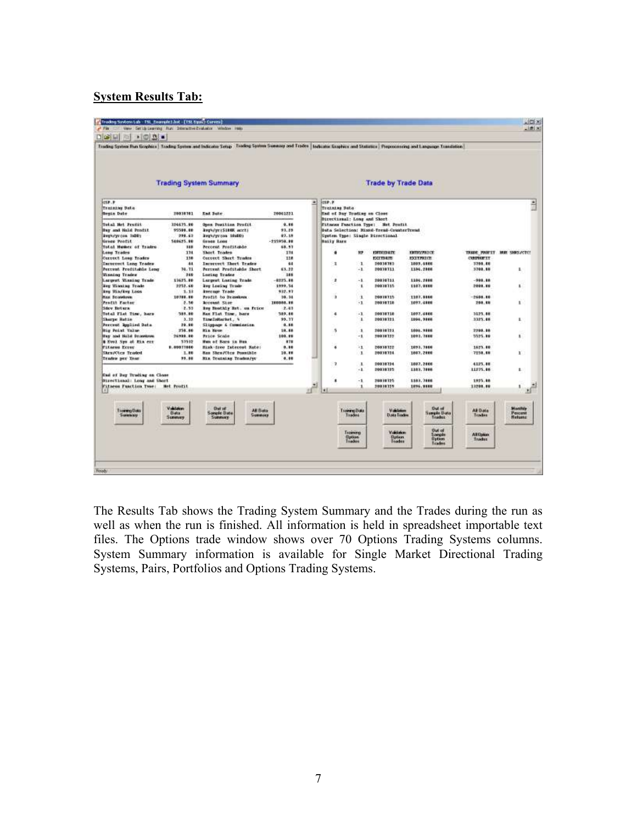### **System Results Tab:**

| $\bullet$ $\circ$ $\circ$<br><b>DIGHLI</b>       |                                 | Trading System Run Graphics   Trading System and Indicates Setup   Trading System Swemery and Tradin   Industrie Traphics and Statistics   Propositoring and Language Translation |                        |                                                     |                                     |                                          |                                           |                             |                                |
|--------------------------------------------------|---------------------------------|-----------------------------------------------------------------------------------------------------------------------------------------------------------------------------------|------------------------|-----------------------------------------------------|-------------------------------------|------------------------------------------|-------------------------------------------|-----------------------------|--------------------------------|
|                                                  |                                 |                                                                                                                                                                                   |                        |                                                     |                                     |                                          |                                           |                             |                                |
|                                                  |                                 |                                                                                                                                                                                   |                        |                                                     |                                     |                                          |                                           |                             |                                |
|                                                  |                                 | <b>Trading System Summary</b>                                                                                                                                                     |                        |                                                     |                                     | <b>Trade by Trade Data</b>               |                                           |                             |                                |
| 157.7                                            |                                 |                                                                                                                                                                                   |                        | inse.e.<br>브                                        |                                     |                                          |                                           |                             |                                |
| Training Data<br><b>Begin Date</b>               | 19838101                        | End Pote                                                                                                                                                                          | 20061221               | Training Sata<br><b>End of Day Trofing on Close</b> |                                     |                                          |                                           |                             |                                |
| <b>Total Het Fruitt</b>                          | 324675.00                       | <b>Open Position Profit</b>                                                                                                                                                       | 9.86                   | Directional: Long and Short                         |                                     | Fitness Fanction Type: Net Profit        |                                           |                             |                                |
| Bay and Hald Profit                              | 95500.00                        | Augu/years and a service                                                                                                                                                          | 93.25                  |                                                     |                                     | Bata Selection: Mixed-Tread-CounterTread |                                           |                             |                                |
| keepings (on lisht)<br>Green Prafit.             | 298.62<br>540625.00             | kepisyczna iśsiko<br>Gross Loss                                                                                                                                                   | \$7.15<br>$-215950.00$ | <b>Baily Bars</b>                                   |                                     | System Type: Singhe Disectional          |                                           |                             |                                |
| <b>Total Humer of Trades</b>                     | 118                             | Percent Profitable                                                                                                                                                                | 68.97                  |                                                     |                                     |                                          |                                           |                             |                                |
| <b>Long Trades</b>                               | 374                             | Short Trades                                                                                                                                                                      | 338                    |                                                     | ĦP.                                 | <b>ENTROIS ATE</b>                       | <b>ENTROPICE</b>                          |                             | TRADE PINNELY HUR SHOCKCTC!    |
| <b>Current Long Trades</b>                       | 110                             | <b>Correct Short Trodes</b>                                                                                                                                                       | 118                    |                                                     |                                     | EXITBATE                                 | EXTREME                                   | <b>CURPERTY</b>             |                                |
| Incornet Long Trades<br>Porrent Proditable Long  | 44<br>34.71                     | Incorrect Short Trades<br>Pertynt Profitable Sheet                                                                                                                                | 64<br>63.22            | ı                                                   | $\mathbf{1}$<br>$-1$                | 20030703<br>19938711                     | 1003.4886<br>1104.2006                    | 5708.88<br>5708.88          | ı.                             |
| <b>Winning Trades</b>                            | 349                             | Luzing Trades                                                                                                                                                                     | 388                    |                                                     |                                     |                                          |                                           |                             |                                |
| Largest Winning Trade                            | 19625.00                        | Largest Losing Trade                                                                                                                                                              | $-0225.00$             | ÷                                                   | $-1$                                | 20030311                                 | 1104.2888                                 | $-208.88$                   |                                |
| key Hinning Trade                                | 2252.68                         | key Locing Trade                                                                                                                                                                  | 1999.54                |                                                     | 1                                   | 20031335                                 | 1107.1110                                 | 2009.00                     | ٠                              |
| key Hin/key Loos<br><b>Basi Drivestown</b>       | $1.1*$<br>10708.80              | keerage Trade                                                                                                                                                                     | 932.97                 | ä                                                   | ı                                   | 70839715                                 | 1107, 1116                                | $-2688.88$                  |                                |
| Fredit Factor                                    | 2.30                            | Produt to Drawbook<br><b>Account Stor</b>                                                                                                                                         | 38.38<br>100008.80     |                                                     | $-1$                                | 20030738                                 | 1097.4886                                 | 250.68                      | r                              |
| <b>Sdev Return</b>                               | 2.33                            | key Hoothiy Bot. us Frice                                                                                                                                                         | 2.41                   |                                                     |                                     |                                          |                                           |                             |                                |
| Total Flat Tire, hars                            | 589.90                          | Hax Flat Time, bars                                                                                                                                                               | 589.46                 | ٠                                                   | $-1$                                | 20030328                                 | 1097, 4446                                | 1125.48                     |                                |
| <b>Sharpe Ratio</b>                              | 3.32                            | TimeInHorket. \                                                                                                                                                                   | 99.17                  |                                                     | 1                                   | 20031321                                 | 1994.9886                                 | 1325.68                     | U.                             |
| Percent Replied Data                             | 29.98                           | Slippage & Commination                                                                                                                                                            | 0.88                   |                                                     |                                     |                                          |                                           |                             |                                |
| Rig Point Talue<br><b>Itay and Hold Drawings</b> | 258.80<br>26999.00              | itica biover<br><b>Price Scale</b>                                                                                                                                                | 19.88<br>100.00        | ă.                                                  | $\mathbf{1}$<br>$-1$                | 20030321<br>70010122                     | 1006.7888<br>1093.7888                    | 2205.38<br>5525.10          | ı                              |
| & Evel Sys at ma err                             | 53532                           | Hun of Bars in Hun                                                                                                                                                                | 878                    |                                                     |                                     |                                          |                                           |                             |                                |
| <b>Pitness Errer</b>                             | 8.00073860                      | Bisk-free Isleecol Rate:                                                                                                                                                          | 3.36                   | ×                                                   | $-1$                                | 20839322                                 | 1093, 7866                                | 1623.88                     |                                |
| <b>Skru/Cles Traded</b>                          | 1.00                            | Has Shew/Cless Posseible                                                                                                                                                          | 10.00                  |                                                     | $\mathbf{1}$                        | 20030314                                 | 1867, 2888                                | 7259.68                     | х.                             |
| Trades per Year.                                 | 99.86                           | His Truinias Trudes/st                                                                                                                                                            | 4.88                   |                                                     |                                     |                                          |                                           |                             |                                |
|                                                  |                                 |                                                                                                                                                                                   |                        | ٠                                                   | $\mathbf{I}$<br>$-1$                | 20030724<br>20031725                     | 1007.2000<br>1103.7886                    | 4125.88<br>11275.88         | ž.                             |
| East of Day Troding on Close                     |                                 |                                                                                                                                                                                   |                        |                                                     |                                     |                                          |                                           |                             |                                |
| <b>Birectional: Long and Short</b>               |                                 |                                                                                                                                                                                   |                        | ٠                                                   | $-1$                                | 70838725                                 | 1103.3888                                 | 1925.88                     |                                |
| Fitzess Function Twee:                           | <b>Het Profit</b>               |                                                                                                                                                                                   |                        |                                                     | 1                                   | 20830159                                 | 1896.1888                                 | 18200.00                    |                                |
|                                                  |                                 |                                                                                                                                                                                   |                        | ٠ī                                                  |                                     |                                          |                                           |                             |                                |
| <b>Troining Data</b><br><b>Summary</b>           | Vidulation:<br>Bata.<br>Summure | Dut of<br>All Bata<br>Somple Date<br><b>Summons</b><br>Summory.                                                                                                                   |                        |                                                     | <b>Tionweibaa</b><br>Instead        | Validation<br><b>Data Trades</b>         | <b>Chat inf</b><br>Samuel Bata<br>Trader  | AB Data<br><b>Tractive</b>  | Magilida<br>Percent<br>Helping |
|                                                  |                                 |                                                                                                                                                                                   |                        |                                                     | Training<br><b>Option</b><br>Trades | Valdeton<br><b>Option</b>                | <b>But of</b><br>Samples<br><b>Oution</b> | <b>All Option</b><br>Trader |                                |

The Results Tab shows the Trading System Summary and the Trades during the run as well as when the run is finished. All information is held in spreadsheet importable text files. The Options trade window shows over 70 Options Trading Systems columns. System Summary information is available for Single Market Directional Trading Systems, Pairs, Portfolios and Options Trading Systems.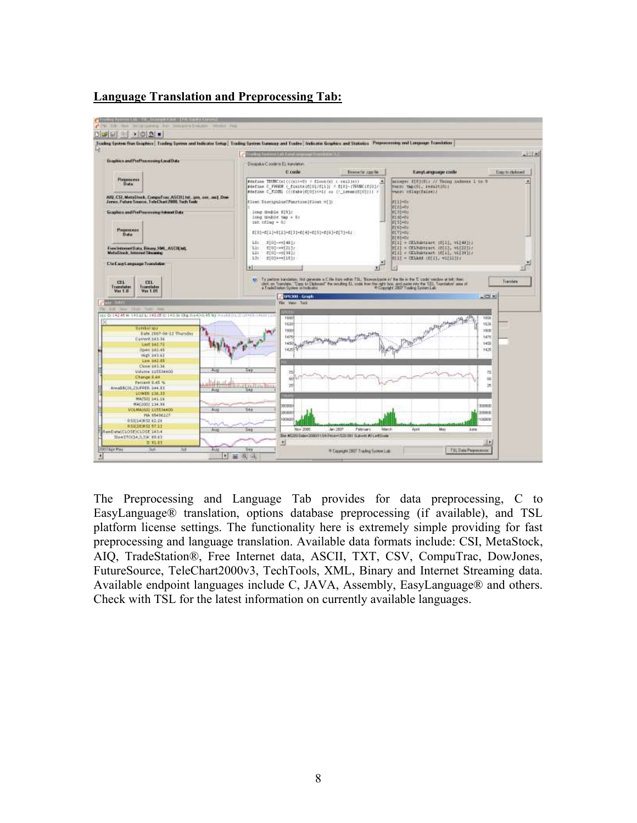



The Preprocessing and Language Tab provides for data preprocessing, C to EasyLanguage® translation, options database preprocessing (if available), and TSL platform license settings. The functionality here is extremely simple providing for fast preprocessing and language translation. Available data formats include: CSI, MetaStock, AIQ, TradeStation®, Free Internet data, ASCII, TXT, CSV, CompuTrac, DowJones, FutureSource, TeleChart2000v3, TechTools, XML, Binary and Internet Streaming data. Available endpoint languages include C, JAVA, Assembly, EasyLanguage® and others. Check with TSL for the latest information on currently available languages.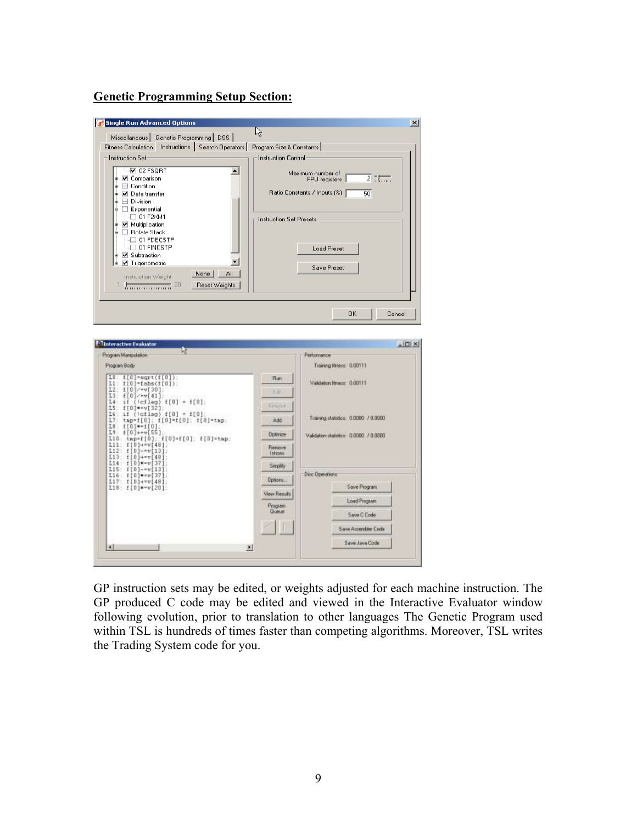#### **Genetic Programming Setup Section:**

|                                                                                                                    | 似                                                         |
|--------------------------------------------------------------------------------------------------------------------|-----------------------------------------------------------|
| Miscellaneous   Genetic Programming   DSS                                                                          |                                                           |
| Fitness Calculation Instructions   Search Operators                                                                | Program Size & Constants                                  |
| <b>Instruction Set</b>                                                                                             | <b>Instruction Control</b>                                |
| $\neg$ 02 FSQRT<br>$\blacktriangle$                                                                                | Maximum number of                                         |
| i-√ Comparison<br>-·□ Condition                                                                                    | $\overline{2}$ : $\overline{1, \ldots}$<br>FPU registers  |
| ∗-⊠ Data transfer                                                                                                  | Ratio Constants / Inputs (%)  <br>50                      |
| +-□ Division                                                                                                       |                                                           |
| ≑-□ Exponential                                                                                                    |                                                           |
| $\Box$ 01 F2XM1<br>+ V Multiplication                                                                              | Instruction Set Presets                                   |
| ≑~□ Rotate Stack                                                                                                   |                                                           |
| $\Box$ 01 FDECSTP                                                                                                  |                                                           |
| $\Box$ 01 FINCSTP<br>+ ⊠ Subtraction                                                                               | <b>Load Preset</b>                                        |
| * V Trigonometria                                                                                                  |                                                           |
| None  <br>ΑI                                                                                                       | Save Preset                                               |
| Instruction Weight<br>Reset Weights<br>1 <del>.</del><br>20                                                        |                                                           |
|                                                                                                                    |                                                           |
|                                                                                                                    |                                                           |
|                                                                                                                    |                                                           |
| 阮                                                                                                                  | Perlamence                                                |
|                                                                                                                    | Training filmess: 0.00111                                 |
| Interactive Evaluator<br>Program Manipulation:<br>Program Body<br>$10:100 = 101$<br>$L1:$ $f[0]*$ $(b)$ $(f[0])$ ; | $-101 \times$<br><b>Flun</b><br>Validators House: 0.00111 |
| $L2: f[0]/-v[30].$                                                                                                 | 158                                                       |
| $L3:$ $f[0]1$ $g[41]$ .<br>$14: 16$ (leflag) $f[0] = f[0]$ :                                                       |                                                           |
| $LS:$ $f[0]$ ** $V[32]$ .<br>$16:$ if (leflag) $f[0] = f[0]$ ;                                                     | Ferove                                                    |
| 17: tap-f[0]: f[0]-f[0]: f[0]-tap:                                                                                 | Training statistics: 0.0000 / 0.0000<br><b>Add</b>        |
|                                                                                                                    | <b>Optimize</b><br>Validation statistics: 0.0000 / 0.0000 |
| $I0: f[0] \rightarrow f[0].$<br>$I9: f[0]+w[55].$<br>L10: tmp=f[0], f[0]=f[0]; f[0]=tmp;<br>L11: f[0]+*v[48];      | <b>Flemove</b>                                            |
|                                                                                                                    | Introne                                                   |
| $L12: f[0]-v[13]$<br>$L13:$ $L[0]+IV[40]$<br>$L14:$ f[0] $=$ $v$ [37]                                              | Smplity                                                   |
|                                                                                                                    | <b>Dirc Dpenstions</b>                                    |
| $L15:$ $f[0]-v[13]$<br>$L16: [10]**v[37]$<br>$L17: E[0]+vv[48]$<br>$L18: E[0]*=v[20].$                             | Dotorn.<br>Save Program                                   |
|                                                                                                                    | View Results                                              |
|                                                                                                                    | Load Program<br>Program<br>Gueue                          |
|                                                                                                                    | Save C Ende                                               |
|                                                                                                                    | Save Accentier Code                                       |

GP instruction sets may be edited, or weights adjusted for each machine instruction. The GP produced C code may be edited and viewed in the Interactive Evaluator window following evolution, prior to translation to other languages The Genetic Program used within TSL is hundreds of times faster than competing algorithms. Moreover, TSL writes the Trading System code for you.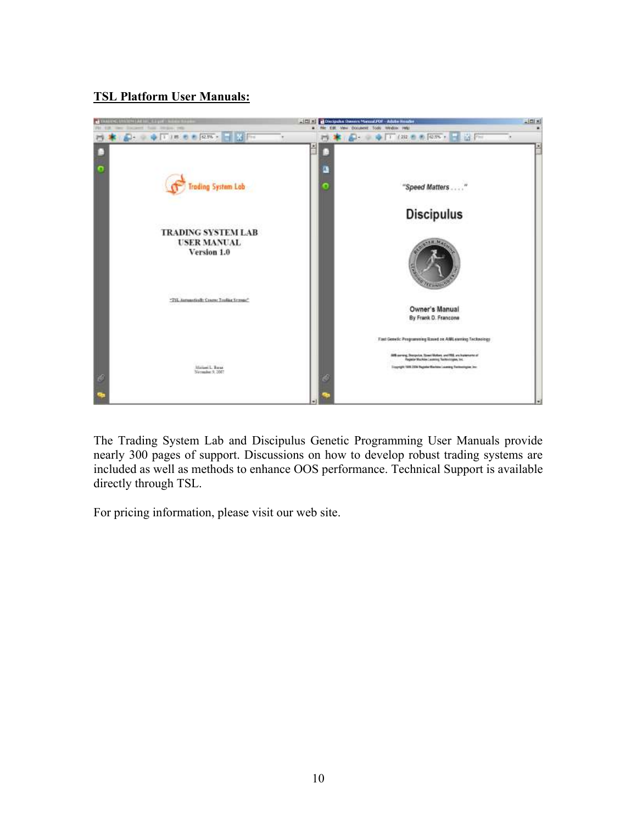## **TSL Platform User Manuals:**



The Trading System Lab and Discipulus Genetic Programming User Manuals provide nearly 300 pages of support. Discussions on how to develop robust trading systems are included as well as methods to enhance OOS performance. Technical Support is available directly through TSL.

For pricing information, please visit our web site.